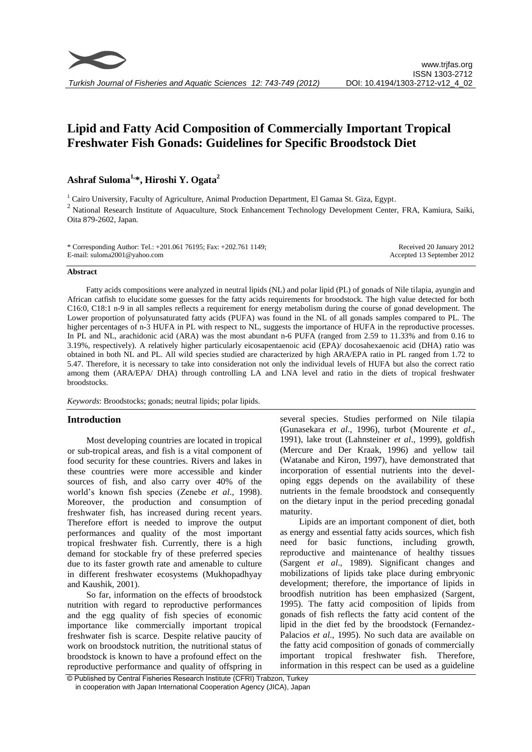# **Lipid and Fatty Acid Composition of Commercially Important Tropical Freshwater Fish Gonads: Guidelines for Specific Broodstock Diet**

# **Ashraf Suloma1, \*, Hiroshi Y. Ogata<sup>2</sup>**

<sup>1</sup> Cairo University, Faculty of Agriculture, Animal Production Department, El Gamaa St. Giza, Egypt.  $2$  National Research Institute of Aquaculture, Stock Enhancement Technology Development Center, FRA, Kamiura, Saiki, Oita 879-2602, Japan.

| * Corresponding Author: Tel.: +201.061 76195; Fax: +202.761 1149; | Received 20 January 2012   |
|-------------------------------------------------------------------|----------------------------|
| E-mail: suloma2001@yahoo.com                                      | Accepted 13 September 2012 |

#### **Abstract**

Fatty acids compositions were analyzed in neutral lipids (NL) and polar lipid (PL) of gonads of Nile tilapia, ayungin and African catfish to elucidate some guesses for the fatty acids requirements for broodstock. The high value detected for both C16:0, C18:1 n-9 in all samples reflects a requirement for energy metabolism during the course of gonad development. The Lower proportion of polyunsaturated fatty acids (PUFA) was found in the NL of all gonads samples compared to PL. The higher percentages of n-3 HUFA in PL with respect to NL, suggests the importance of HUFA in the reproductive processes. In PL and NL, arachidonic acid (ARA) was the most abundant n-6 PUFA (ranged from 2.59 to 11.33% and from 0.16 to 3.19%, respectively). A relatively higher particularly eicosapentaenoic acid (EPA)/ docosahexaenoic acid (DHA) ratio was obtained in both NL and PL. All wild species studied are characterized by high ARA/EPA ratio in PL ranged from 1.72 to 5.47. Therefore, it is necessary to take into consideration not only the individual levels of HUFA but also the correct ratio among them (ARA/EPA/ DHA) through controlling LA and LNA level and ratio in the diets of tropical freshwater broodstocks.

*Keywords*: Broodstocks; gonads; neutral lipids; polar lipids.

### **Introduction**

Most developing countries are located in tropical or sub-tropical areas, and fish is a vital component of food security for these countries. Rivers and lakes in these countries were more accessible and kinder sources of fish, and also carry over 40% of the world's known fish species (Zenebe *et al*., 1998). Moreover, the production and consumption of freshwater fish, has increased during recent years. Therefore effort is needed to improve the output performances and quality of the most important tropical freshwater fish. Currently, there is a high demand for stockable fry of these preferred species due to its faster growth rate and amenable to culture in different freshwater ecosystems (Mukhopadhyay and Kaushik, 2001).

So far, information on the effects of broodstock nutrition with regard to reproductive performances and the egg quality of fish species of economic importance like commercially important tropical freshwater fish is scarce. Despite relative paucity of work on broodstock nutrition, the nutritional status of broodstock is known to have a profound effect on the reproductive performance and quality of offspring in several species. Studies performed on Nile tilapia (Gunasekara *et al*., 1996), turbot (Mourente *et al*., 1991), lake trout (Lahnsteiner *et al*., 1999), goldfish (Mercure and Der Kraak, 1996) and yellow tail (Watanabe and Kiron, 1997), have demonstrated that incorporation of essential nutrients into the developing eggs depends on the availability of these nutrients in the female broodstock and consequently on the dietary input in the period preceding gonadal maturity.

Lipids are an important component of diet, both as energy and essential fatty acids sources, which fish need for basic functions, including growth, reproductive and maintenance of healthy tissues (Sargent *et al*., 1989). Significant changes and mobilizations of lipids take place during embryonic development; therefore, the importance of lipids in broodfish nutrition has been emphasized [\(Sargent,](http://www.sciencedirect.com/science?_ob=ArticleURL&_aset=V-WA-A-W-AC-MsSAYVW-UUA-U-AAWBDVAAYB-AAWABWAEYB-WWABEAZEW-AC-U&_rdoc=6&_fmt=full&_udi=B6T4D-3Y51T0X-4&_coverDate=01%2F01%2F2000&_cdi=4972&_orig=search&_st=13&_sort=d&view=c&_acct=C000060075&_version=1&_urlVersion=0&_userid=3295766&md5=07b79313eec9912bd98af041fc1352fc#b60#b60)  [1995\)](http://www.sciencedirect.com/science?_ob=ArticleURL&_aset=V-WA-A-W-AC-MsSAYVW-UUA-U-AAWBDVAAYB-AAWABWAEYB-WWABEAZEW-AC-U&_rdoc=6&_fmt=full&_udi=B6T4D-3Y51T0X-4&_coverDate=01%2F01%2F2000&_cdi=4972&_orig=search&_st=13&_sort=d&view=c&_acct=C000060075&_version=1&_urlVersion=0&_userid=3295766&md5=07b79313eec9912bd98af041fc1352fc#b60#b60). The fatty acid composition of lipids from gonads of fish reflects the fatty acid content of the lipid in the diet fed by the broodstock (Fernandez-Palacios *et al*., 1995). No such data are available on the fatty acid composition of gonads of commercially important tropical freshwater fish. Therefore, information in this respect can be used as a guideline

© Published by Central Fisheries Research Institute (CFRI) Trabzon, Turkey in cooperation with Japan International Cooperation Agency (JICA), Japan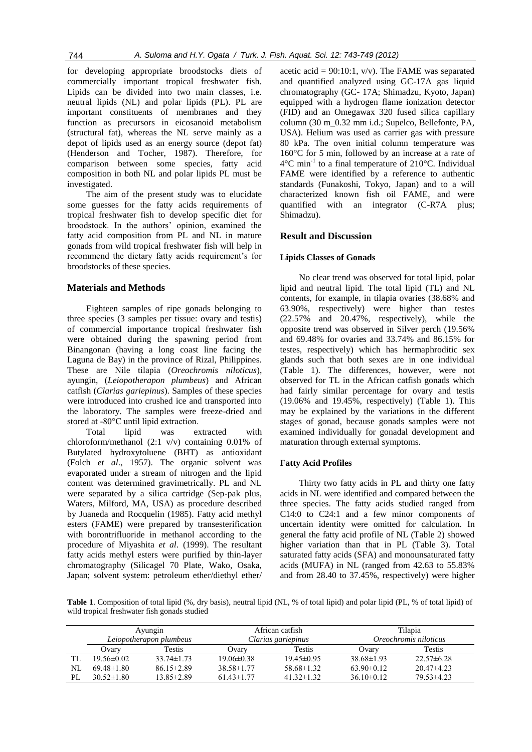for developing appropriate broodstocks diets of commercially important tropical freshwater fish. Lipids can be divided into two main classes, i.e. neutral lipids (NL) and polar lipids (PL). PL are important constituents of membranes and they function as precursors in eicosanoid metabolism (structural fat), whereas the NL serve mainly as a depot of lipids used as an energy source (depot fat) (Henderson and Tocher, 1987). Therefore, for comparison between some species, fatty acid composition in both NL and polar lipids PL must be investigated.

The aim of the present study was to elucidate some guesses for the fatty acids requirements of tropical freshwater fish to develop specific diet for broodstock. In the authors' opinion, examined the fatty acid composition from PL and NL in mature gonads from wild tropical freshwater fish will help in recommend the dietary fatty acids requirement's for broodstocks of these species.

# **Materials and Methods**

Eighteen samples of ripe gonads belonging to three species (3 samples per tissue: ovary and testis) of commercial importance tropical freshwater fish were obtained during the spawning period from Binangonan (having a long coast line facing the Laguna de Bay) in the province of Rizal, Philippines. These are Nile tilapia (*Oreochromis niloticus*), ayungin, (*Leiopotherapon plumbeus*) and African catfish (*Clarias gariepinus*). Samples of these species were introduced into crushed ice and transported into the laboratory. The samples were freeze-dried and stored at -80°C until lipid extraction.

Total lipid was extracted with chloroform/methanol (2:1 v/v) containing 0.01% of Butylated hydroxytoluene (BHT) as antioxidant (Folch *et al*., 1957). The organic solvent was evaporated under a stream of nitrogen and the lipid content was determined gravimetrically. PL and NL were separated by a silica cartridge (Sep-pak plus, Waters, Milford, MA, USA) as procedure described by Juaneda and Rocquelin (1985). Fatty acid methyl esters (FAME) were prepared by transesterification with borontrifluoride in methanol according to the procedure of Miyashita *et al*. (1999). The resultant fatty acids methyl esters were purified by thin-layer chromatography (Silicagel 70 Plate, Wako, Osaka, Japan; solvent system: petroleum ether/diethyl ether/

acetic acid =  $90:10:1$ , v/v). The FAME was separated and quantified analyzed using GC-17A gas liquid chromatography (GC- 17A; Shimadzu, Kyoto, Japan) equipped with a hydrogen flame ionization detector (FID) and an Omegawax 320 fused silica capillary column (30 m\_0.32 mm i.d.; Supelco, Bellefonte, PA, USA). Helium was used as carrier gas with pressure 80 kPa. The oven initial column temperature was 160°C for 5 min, followed by an increase at a rate of 4°C min-1 to a final temperature of 210°C. Individual FAME were identified by a reference to authentic standards (Funakoshi, Tokyo, Japan) and to a will characterized known fish oil FAME, and were quantified with an integrator (C-R7A plus; Shimadzu).

# **Result and Discussion**

# **Lipids Classes of Gonads**

No clear trend was observed for total lipid, polar lipid and neutral lipid. The total lipid (TL) and NL contents, for example, in tilapia ovaries (38.68% and 63.90%, respectively) were higher than testes (22.57% and 20.47%, respectively), while the opposite trend was observed in Silver perch (19.56% and 69.48% for ovaries and 33.74% and 86.15% for testes, respectively) which has hermaphroditic sex glands such that both sexes are in one individual (Table 1). The differences, however, were not observed for TL in the African catfish gonads which had fairly similar percentage for ovary and testis (19.06% and 19.45%, respectively) (Table 1). This may be explained by the variations in the different stages of gonad, because gonads samples were not examined individually for gonadal development and maturation through external symptoms.

### **Fatty Acid Profiles**

Thirty two fatty acids in PL and thirty one fatty acids in NL were identified and compared between the three species. The fatty acids studied ranged from C14:0 to C24:1 and a few minor components of uncertain identity were omitted for calculation. In general the fatty acid profile of NL (Table 2) showed higher variation than that in PL (Table 3). Total saturated fatty acids (SFA) and monounsaturated fatty acids (MUFA) in NL (ranged from 42.63 to 55.83% and from 28.40 to 37.45%, respectively) were higher

**Table 1**. Composition of total lipid (%, dry basis), neutral lipid (NL, % of total lipid) and polar lipid (PL, % of total lipid) of wild tropical freshwater fish gonads studied

|     |                         |                  |                    |                  | Tilapia               |                 |  |
|-----|-------------------------|------------------|--------------------|------------------|-----------------------|-----------------|--|
|     | Ayungin                 |                  |                    | African catfish  |                       |                 |  |
|     | Leiopotherapon plumbeus |                  | Clarias gariepinus |                  | Oreochromis niloticus |                 |  |
|     | Ovarv                   | <b>Testis</b>    | Ovary              | <b>Testis</b>    | Ovarv                 | Testis          |  |
| TL  | $19.56 \pm 0.02$        | $33.74 \pm 1.73$ | $19.06\pm0.38$     | $19.45\pm0.95$   | $38.68 \pm 1.93$      | $22.57\pm 6.28$ |  |
| NL  | $69.48\pm1.80$          | $86.15 \pm 2.89$ | $38.58 \pm 1.77$   | $58.68 \pm 1.32$ | $63.90 \pm 0.12$      | $20.47\pm4.23$  |  |
| PL. | $30.52 \pm 1.80$        | 13.85±2.89       | $61.43 \pm 1.77$   | $41.32 \pm 1.32$ | $36.10\pm0.12$        | $79.53\pm4.23$  |  |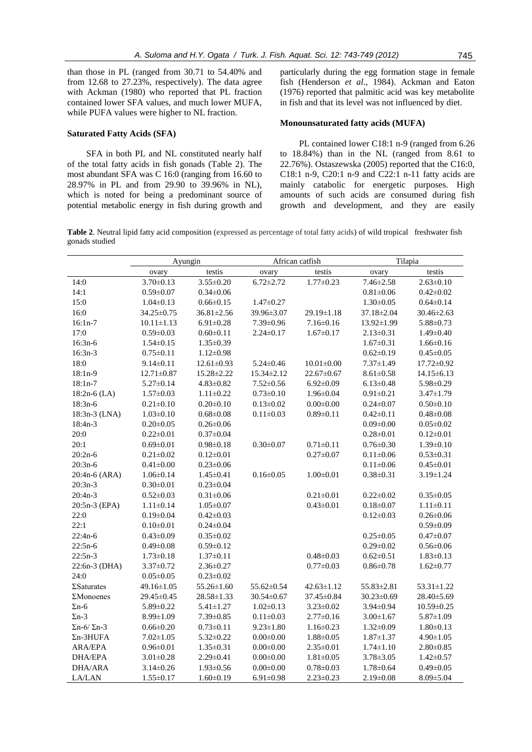than those in PL (ranged from 30.71 to 54.40% and from 12.68 to 27.23%, respectively). The data agree with Ackman (1980) who reported that PL fraction contained lower SFA values, and much lower MUFA, while PUFA values were higher to NL fraction.

#### **Saturated Fatty Acids (SFA)**

SFA in both PL and NL constituted nearly half of the total fatty acids in fish gonads (Table 2). The most abundant SFA was C 16:0 (ranging from 16.60 to 28.97% in PL and from 29.90 to 39.96% in NL), which is noted for being a predominant source of potential metabolic energy in fish during growth and particularly during the egg formation stage in female fish (Henderson *et al*., 1984). Ackman and Eaton (1976) reported that palmitic acid was key metabolite in fish and that its level was not influenced by diet.

### **Monounsaturated fatty acids (MUFA)**

PL contained lower C18:1 n-9 (ranged from 6.26 to 18.84%) than in the NL (ranged from 8.61 to 22.76%). Ostaszewska (2005) reported that the C16:0, C18:1 n-9, C20:1 n-9 and C22:1 n-11 fatty acids are mainly catabolic for energetic purposes. High amounts of such acids are consumed during fish growth and development, and they are easily

**Table 2**. Neutral lipid fatty acid composition (expressed as percentage of total fatty acids) of wild tropical freshwater fish gonads studied

|                            | Ayungin          |                  | African catfish |                  | Tilapia         |                  |
|----------------------------|------------------|------------------|-----------------|------------------|-----------------|------------------|
|                            | ovary            | testis           | ovary           | testis           | ovary           | testis           |
| 14:0                       | $3.70 \pm 0.13$  | $3.55 \pm 0.20$  | $6.72 \pm 2.72$ | $1.77 \pm 0.23$  | $7.46 \pm 2.58$ | $2.63 \pm 0.10$  |
| 14:1                       | $0.59 \pm 0.07$  | $0.34 \pm 0.06$  |                 |                  | $0.81 \pm 0.06$ | $0.42 \pm 0.02$  |
| 15:0                       | $1.04 \pm 0.13$  | $0.66 \pm 0.15$  | $1.47 \pm 0.27$ |                  | $1.30 \pm 0.05$ | $0.64 \pm 0.14$  |
| 16:0                       | 34.25±0.75       | 36.81±2.56       | 39.96±3.07      | 29.19±1.18       | 37.18±2.04      | 30.46±2.63       |
| $16:1n-7$                  | $10.11 \pm 1.13$ | $6.91 \pm 0.28$  | $7.39 \pm 0.96$ | $7.16 \pm 0.16$  | 13.92±1.99      | $5.88 \pm 0.73$  |
| 17:0                       | $0.59 \pm 0.03$  | $0.60 \pm 0.11$  | $2.24 \pm 0.17$ | $1.67 \pm 0.17$  | $2.13 \pm 0.31$ | $1.49 \pm 0.40$  |
| $16:3n-6$                  | $1.54 \pm 0.15$  | $1.35 \pm 0.39$  |                 |                  | $1.67 \pm 0.31$ | $1.66 \pm 0.16$  |
| $16:3n-3$                  | $0.75 \pm 0.11$  | $1.12 \pm 0.98$  |                 |                  | $0.62 \pm 0.19$ | $0.45 \pm 0.05$  |
| 18:0                       | $9.14 \pm 0.11$  | $12.61 \pm 0.93$ | $5.24 \pm 0.46$ | $10.01 \pm 0.00$ | $7.37 \pm 1.49$ | $17.72 \pm 0.92$ |
| $18:1n-9$                  | 12.71±0.87       | 15.28±2.22       | 15.34±2.12      | $22.67 \pm 0.67$ | $8.61 \pm 0.58$ | 14.15±6.13       |
| $18:1n-7$                  | $5.27 \pm 0.14$  | $4.83 \pm 0.82$  | $7.52 \pm 0.56$ | $6.92 \pm 0.09$  | $6.13 \pm 0.48$ | $5.98 \pm 0.29$  |
| $18:2n-6$ (LA)             | $1.57 \pm 0.03$  | $1.11 \pm 0.22$  | $0.73 \pm 0.10$ | $1.96 \pm 0.04$  | $0.91 \pm 0.21$ | $3.47 \pm 1.79$  |
| $18:3n-6$                  | $0.21 \pm 0.10$  | $0.20 \pm 0.10$  | $0.13 \pm 0.02$ | $0.00 \pm 0.00$  | $0.24 \pm 0.07$ | $0.50 \pm 0.10$  |
| 18:3n-3 (LNA)              | $1.03 \pm 0.10$  | $0.68 \pm 0.08$  | $0.11 \pm 0.03$ | $0.89 \pm 0.11$  | $0.42 \pm 0.11$ | $0.48 \pm 0.08$  |
| $18:4n-3$                  | $0.20 \pm 0.05$  | $0.26 \pm 0.06$  |                 |                  | $0.09 \pm 0.00$ | $0.05 \pm 0.02$  |
| 20:0                       | $0.22 \pm 0.01$  | $0.37 \pm 0.04$  |                 |                  | $0.28 \pm 0.01$ | $0.12 \pm 0.01$  |
| 20:1                       | $0.69 \pm 0.01$  | $0.98 \pm 0.18$  | $0.30 \pm 0.07$ | $0.71 \pm 0.11$  | $0.76 \pm 0.30$ | $1.39 \pm 0.10$  |
| $20:2n-6$                  | $0.21 \pm 0.02$  | $0.12 \pm 0.01$  |                 | $0.27 \pm 0.07$  | $0.11 \pm 0.06$ | $0.53 \pm 0.31$  |
| $20:3n-6$                  | $0.41 \pm 0.00$  | $0.23 \pm 0.06$  |                 |                  | $0.11 \pm 0.06$ | $0.45 \pm 0.01$  |
| 20:4n-6 (ARA)              | $1.06 \pm 0.14$  | $1.45 \pm 0.41$  | $0.16 \pm 0.05$ | $1.00 \pm 0.01$  | $0.38 \pm 0.31$ | $3.19 \pm 1.24$  |
| $20:3n-3$                  | $0.30 \pm 0.01$  | $0.23 \pm 0.04$  |                 |                  |                 |                  |
| $20:4n-3$                  | $0.52 \pm 0.03$  | $0.31 \pm 0.06$  |                 | $0.21 \pm 0.01$  | $0.22 \pm 0.02$ | $0.35 \pm 0.05$  |
| 20:5n-3 (EPA)              | $1.11 \pm 0.14$  | $1.05 \pm 0.07$  |                 | $0.43 \pm 0.01$  | $0.18 \pm 0.07$ | $1.11 \pm 0.11$  |
| 22:0                       | $0.19 \pm 0.04$  | $0.42 \pm 0.03$  |                 |                  | $0.12 \pm 0.03$ | $0.26 \pm 0.06$  |
| 22:1                       | $0.10 \pm 0.01$  | $0.24 \pm 0.04$  |                 |                  |                 | $0.59 \pm 0.09$  |
| $22:4n-6$                  | $0.43 \pm 0.09$  | $0.35 \pm 0.02$  |                 |                  | $0.25 \pm 0.05$ | $0.47 \pm 0.07$  |
| $22:5n-6$                  | $0.49 \pm 0.08$  | $0.59 \pm 0.12$  |                 |                  | $0.29 \pm 0.02$ | $0.56 \pm 0.06$  |
| $22:5n-3$                  | $1.73 \pm 0.18$  | $1.37 \pm 0.11$  |                 | $0.48 \pm 0.03$  | $0.62 \pm 0.51$ | $1.83 \pm 0.13$  |
| 22:6n-3 (DHA)              | $3.37 \pm 0.72$  | $2.36 \pm 0.27$  |                 | $0.77 \pm 0.03$  | $0.86 \pm 0.78$ | $1.62 \pm 0.77$  |
| 24:0                       | $0.05 \pm 0.05$  | $0.23 \pm 0.02$  |                 |                  |                 |                  |
| $\Sigma$ Saturates         | 49.16±1.05       | 55.26±1.60       | 55.62±0.54      | $42.63 \pm 1.12$ | 55.83±2.81      | 53.31±1.22       |
| $\Sigma$ Monoenes          | 29.45±0.45       | 28.58±1.33       | 30.54±0.67      | 37.45±0.84       | 30.23±0.69      | 28.40±5.69       |
| $\Sigma$ n-6               | $5.89 \pm 0.22$  | $5.41 \pm 1.27$  | $1.02 \pm 0.13$ | $3.23 \pm 0.02$  | $3.94 \pm 0.94$ | $10.59 \pm 0.25$ |
| $\Sigma$ n-3               | 8.99±1.09        | $7.39 \pm 0.85$  | $0.11 \pm 0.03$ | $2.77 \pm 0.16$  | $3.00 \pm 1.67$ | $5.87 \pm 1.09$  |
| $\Sigma$ n-6/ $\Sigma$ n-3 | $0.66 \pm 0.20$  | $0.73 \pm 0.11$  | $9.23 \pm 1.80$ | $1.16 \pm 0.23$  | $1.32 \pm 0.09$ | $1.80 \pm 0.13$  |
| $\Sigma$ n-3HUFA           | $7.02 \pm 1.05$  | $5.32 \pm 0.22$  | $0.00 \pm 0.00$ | $1.88 \pm 0.05$  | $1.87 \pm 1.37$ | $4.90 \pm 1.05$  |
| <b>ARA/EPA</b>             | $0.96 \pm 0.01$  | $1.35 \pm 0.31$  | $0.00 \pm 0.00$ | $2.35 \pm 0.01$  | $1.74 \pm 1.10$ | $2.80 \pm 0.85$  |
| DHA/EPA                    | $3.01 \pm 0.28$  | $2.29 \pm 0.41$  | $0.00 \pm 0.00$ | $1.81 \pm 0.05$  | $3.78 \pm 3.05$ | $1.42 \pm 0.57$  |
| DHA/ARA                    | $3.14 \pm 0.26$  | $1.93 \pm 0.56$  | $0.00 \pm 0.00$ | $0.78 \pm 0.03$  | $1.78 \pm 0.64$ | $0.49 \pm 0.05$  |
| LA/LAN                     | $1.55 \pm 0.17$  | $1.60 \pm 0.19$  | $6.91 \pm 0.98$ | $2.23 \pm 0.23$  | $2.19 \pm 0.08$ | $8.09 \pm 5.04$  |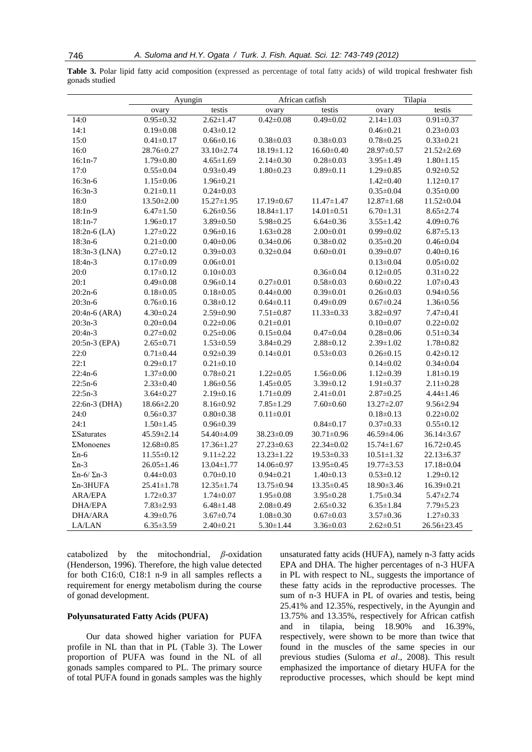**Table 3.** Polar lipid fatty acid composition (expressed as percentage of total fatty acids) of wild tropical freshwater fish gonads studied

|                            | Ayungin          |                  | African catfish  |                  | Tilapia          |                  |
|----------------------------|------------------|------------------|------------------|------------------|------------------|------------------|
|                            | ovary            | testis           | ovary            | testis           | ovary            | testis           |
| 14:0                       | $0.95 \pm 0.32$  | $2.62 \pm 1.47$  | $0.42 \pm 0.08$  | $0.49 \pm 0.02$  | $2.14 \pm 1.03$  | $0.91 \pm 0.37$  |
| 14:1                       | $0.19 \pm 0.08$  | $0.43 \pm 0.12$  |                  |                  | $0.46 \pm 0.21$  | $0.23 \pm 0.03$  |
| 15:0                       | $0.41 \pm 0.17$  | $0.66 \pm 0.16$  | $0.38 \pm 0.03$  | $0.38 \pm 0.03$  | $0.78 \pm 0.25$  | $0.33 \pm 0.21$  |
| 16:0                       | 28.76±0.27       | 33.10±2.74       | 18.19±1.12       | $16.60 \pm 0.40$ | 28.97±0.57       | 21.52±2.69       |
| $16:1n-7$                  | $1.79 \pm 0.80$  | $4.65 \pm 1.69$  | $2.14 \pm 0.30$  | $0.28 \pm 0.03$  | $3.95 \pm 1.49$  | $1.80 \pm 1.15$  |
| 17:0                       | $0.55 \pm 0.04$  | $0.93 \pm 0.49$  | $1.80 \pm 0.23$  | $0.89 \pm 0.11$  | $1.29 \pm 0.85$  | $0.92 \pm 0.52$  |
| $16:3n-6$                  | $1.15 \pm 0.06$  | $1.96 \pm 0.21$  |                  |                  | $1.42 \pm 0.40$  | $1.12 \pm 0.17$  |
| $16:3n-3$                  | $0.21 \pm 0.11$  | $0.24 \pm 0.03$  |                  |                  | $0.35 \pm 0.04$  | $0.35 \pm 0.00$  |
| 18:0                       | $13.50 \pm 2.00$ | $15.27 \pm 1.95$ | $17.19 \pm 0.67$ | $11.47 \pm 1.47$ | $12.87 \pm 1.68$ | $11.52 \pm 0.04$ |
| $18:1n-9$                  | $6.47 \pm 1.50$  | $6.26 \pm 0.56$  | $18.84 \pm 1.17$ | $14.01 \pm 0.51$ | $6.70 \pm 1.31$  | $8.65 \pm 2.74$  |
| $18:1n-7$                  | $1.96 \pm 0.17$  | $3.89 \pm 0.50$  | $5.98 \pm 0.25$  | $6.64 \pm 0.36$  | $3.55 \pm 1.42$  | $4.09 \pm 0.76$  |
| $18:2n-6$ (LA)             | $1.27 \pm 0.22$  | $0.96 \pm 0.16$  | $1.63 \pm 0.28$  | $2.00 \pm 0.01$  | $0.99 \pm 0.02$  | $6.87 \pm 5.13$  |
| $18:3n-6$                  | $0.21 \pm 0.00$  | $0.40 \pm 0.06$  | $0.34 \pm 0.06$  | $0.38 \pm 0.02$  | $0.35 \pm 0.20$  | $0.46 \pm 0.04$  |
| 18:3n-3 (LNA)              | $0.27 \pm 0.12$  | $0.39 \pm 0.03$  | $0.32 \pm 0.04$  | $0.60 \pm 0.01$  | $0.39 \pm 0.07$  | $0.40 \pm 0.16$  |
| $18:4n-3$                  | $0.17 \pm 0.09$  | $0.06 \pm 0.01$  |                  |                  | $0.13 \pm 0.04$  | $0.05 \pm 0.02$  |
| 20:0                       | $0.17 \pm 0.12$  | $0.10 \pm 0.03$  |                  | $0.36 \pm 0.04$  | $0.12 \pm 0.05$  | $0.31 \pm 0.22$  |
| 20:1                       | $0.49 \pm 0.08$  | $0.96 \pm 0.14$  | $0.27 \pm 0.01$  | $0.58 \pm 0.03$  | $0.60 \pm 0.22$  | $1.07 \pm 0.43$  |
| $20:2n-6$                  | $0.18 \pm 0.05$  | $0.18 \pm 0.05$  | $0.44 \pm 0.00$  | $0.39 \pm 0.01$  | $0.26 \pm 0.03$  | $0.94 \pm 0.56$  |
| $20:3n-6$                  | $0.76 \pm 0.16$  | $0.38 \pm 0.12$  | $0.64 \pm 0.11$  | $0.49 \pm 0.09$  | $0.67 \pm 0.24$  | $1.36 \pm 0.56$  |
| 20:4n-6 (ARA)              | $4.30 \pm 0.24$  | $2.59 \pm 0.90$  | $7.51 \pm 0.87$  | 11.33±0.33       | $3.82 \pm 0.97$  | $7.47 \pm 0.41$  |
| $20:3n-3$                  | $0.20 \pm 0.04$  | $0.22 \pm 0.06$  | $0.21 \pm 0.01$  |                  | $0.10 \pm 0.07$  | $0.22 \pm 0.02$  |
| $20:4n-3$                  | $0.27 \pm 0.02$  | $0.25 \pm 0.06$  | $0.15 \pm 0.04$  | $0.47 \pm 0.04$  | $0.28 \pm 0.06$  | $0.51 \pm 0.34$  |
| 20:5n-3 (EPA)              | $2.65 \pm 0.71$  | $1.53 \pm 0.59$  | $3.84 \pm 0.29$  | $2.88 \pm 0.12$  | $2.39 \pm 1.02$  | $1.78 \pm 0.82$  |
| 22:0                       | $0.71 \pm 0.44$  | $0.92 \pm 0.39$  | $0.14 \pm 0.01$  | $0.53 \pm 0.03$  | $0.26 \pm 0.15$  | $0.42 \pm 0.12$  |
| 22:1                       | $0.29 \pm 0.17$  | $0.21 \pm 0.10$  |                  |                  | $0.14 \pm 0.02$  | $0.34 \pm 0.04$  |
| $22:4n-6$                  | $1.37 \pm 0.00$  | $0.78 \pm 0.21$  | $1.22 \pm 0.05$  | $1.56 \pm 0.06$  | $1.12 \pm 0.39$  | $1.81 \pm 0.19$  |
| $22:5n-6$                  | $2.33 \pm 0.40$  | $1.86 \pm 0.56$  | $1.45 \pm 0.05$  | $3.39 \pm 0.12$  | $1.91 \pm 0.37$  | $2.11 \pm 0.28$  |
| $22:5n-3$                  | $3.64 \pm 0.27$  | $2.19 \pm 0.16$  | $1.71 \pm 0.09$  | $2.41 \pm 0.01$  | $2.87 \pm 0.25$  | $4.44 \pm 1.46$  |
| 22:6n-3 (DHA)              | 18.66±2.20       | $8.16 \pm 0.92$  | $7.85 \pm 1.29$  | $7.60 \pm 0.60$  | $13.27 \pm 2.07$ | $9.56 \pm 2.94$  |
| 24:0                       | $0.56 \pm 0.37$  | $0.80 \pm 0.38$  | $0.11 \pm 0.01$  |                  | $0.18 \pm 0.13$  | $0.22 \pm 0.02$  |
| 24:1                       | $1.50 \pm 1.45$  | $0.96 \pm 0.39$  |                  | $0.84 \pm 0.17$  | $0.37 \pm 0.33$  | $0.55 \pm 0.12$  |
| $\Sigma$ Saturates         | 45.59±2.14       | 54.40±4.09       | 38.23±0.09       | 30.71±0.96       | 46.59±4.06       | $36.14 \pm 3.67$ |
| $\Sigma$ Monoenes          | $12.68 \pm 0.85$ | $17.36 \pm 1.27$ | $27.23 \pm 0.63$ | $22.34 \pm 0.02$ | $15.74 \pm 1.67$ | $16.72 \pm 0.45$ |
| $\Sigma$ n-6               | $11.55 \pm 0.12$ | $9.11 \pm 2.22$  | $13.23 \pm 1.22$ | $19.53 \pm 0.33$ | $10.51 \pm 1.32$ | 22.13±6.37       |
| $\Sigma$ n-3               | $26.05 \pm 1.46$ | 13.04±1.77       | 14.06±0.97       | 13.95±0.45       | 19.77±3.53       | 17.18±0.04       |
| $\Sigma$ n-6/ $\Sigma$ n-3 | $0.44 \pm 0.03$  | $0.70 \pm 0.10$  | $0.94 \pm 0.21$  | $1.40 \pm 0.13$  | $0.53 \pm 0.12$  | $1.29 \pm 0.12$  |
| $\Sigma$ n-3HUFA           | $25.41 \pm 1.78$ | 12.35 ± 1.74     | 13.75±0.94       | 13.35±0.45       | 18.90±3.46       | 16.39±0.21       |
| ARA/EPA                    | $1.72 \pm 0.37$  | $1.74 \pm 0.07$  | $1.95 \pm 0.08$  | $3.95 \pm 0.28$  | $1.75 \pm 0.34$  | $5.47 \pm 2.74$  |
| <b>DHA/EPA</b>             | $7.83 \pm 2.93$  | $6.48 \pm 1.48$  | $2.08 \pm 0.49$  | $2.65 \pm 0.32$  | $6.35 \pm 1.84$  | $7.79 \pm 5.23$  |
| DHA/ARA                    | $4.39 \pm 0.76$  | $3.67 \pm 0.74$  | $1.08 \pm 0.30$  | $0.67 \pm 0.03$  | $3.57 \pm 0.36$  | $1.27 \pm 0.33$  |
| LA/LAN                     | $6.35 \pm 3.59$  | $2.40 \pm 0.21$  | $5.30 \pm 1.44$  | $3.36 \pm 0.03$  | $2.62 \pm 0.51$  | 26.56±23.45      |

catabolized by the mitochondrial, *β*-oxidation (Henderson, 1996). Therefore, the high value detected for both C16:0, C18:1 n-9 in all samples reflects a requirement for energy metabolism during the course of gonad development.

#### **Polyunsaturated Fatty Acids (PUFA)**

Our data showed higher variation for PUFA profile in NL than that in PL (Table 3). The Lower proportion of PUFA was found in the NL of all gonads samples compared to PL. The primary source of total PUFA found in gonads samples was the highly unsaturated fatty acids (HUFA), namely n-3 fatty acids EPA and DHA. The higher percentages of n-3 HUFA in PL with respect to NL, suggests the importance of these fatty acids in the reproductive processes. The sum of n-3 HUFA in PL of ovaries and testis, being 25.41% and 12.35%, respectively, in the Ayungin and 13.75% and 13.35%, respectively for African catfish and in tilapia, being 18.90% and 16.39%, respectively, were shown to be more than twice that found in the muscles of the same species in our previous studies (Suloma *et al*., 2008). This result emphasized the importance of dietary HUFA for the reproductive processes, which should be kept mind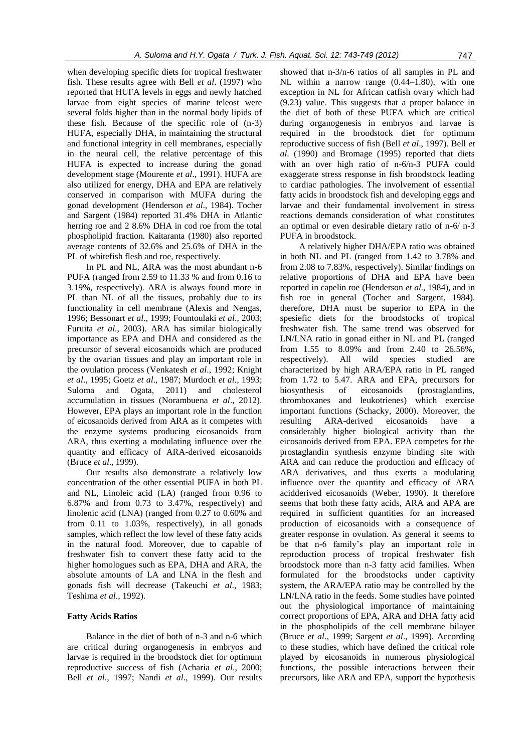when developing specific diets for tropical freshwater fish. These results agree with Bell *et al*. (1997) who reported that HUFA levels in eggs and newly hatched larvae from eight species of marine teleost were several folds higher than in the normal body lipids of these fish. Because of the specific role of (n-3) HUFA, especially DHA, in maintaining the structural and functional integrity in cell membranes, especially in the neural cell, the relative percentage of this HUFA is expected to increase during the gonad development stage (Mourente *et al*., 1991). HUFA are also utilized for energy, DHA and EPA are relatively conserved in comparison with MUFA during the gonad development (Henderson *et al*., 1984). Tocher and Sargent (1984) reported 31.4% DHA in Atlantic herring roe and 2 8.6% DHA in cod roe from the total phospholipid fraction. Kaitaranta (1980) also reported average contents of 32.6% and 25.6% of DHA in the PL of whitefish flesh and roe, respectively.

In PL and NL, ARA was the most abundant n-6 PUFA (ranged from 2.59 to 11.33 % and from 0.16 to 3.19%, respectively). ARA is always found more in PL than NL of all the tissues, probably due to its functionality in cell membrane (Alexis and Nengas, 1996; Bessonart *et al*., 1999; Fountoulaki *et al*., 2003; Furuita *et al*., 2003). ARA has similar biologically importance as EPA and DHA and considered as the precursor of several eicosanoids which are produced by the ovarian tissues and play an important role in the ovulation process (Venkatesh *et al*., 1992; Knight *et al*., 1995; Goetz *et al*., 1987; Murdoch *et al*., 1993; Suloma and Ogata, 2011) and cholesterol accumulation in tissues (Norambuena *et al*., 2012). However, EPA plays an important role in the function of eicosanoids derived from ARA as it competes with the enzyme systems producing eicosanoids from ARA, thus exerting a modulating influence over the quantity and efficacy of ARA-derived eicosanoids (Bruce *et al*., 1999).

Our results also demonstrate a relatively low concentration of the other essential PUFA in both PL and NL, Linoleic acid (LA) (ranged from 0.96 to 6.87% and from 0.73 to 3.47%, respectively) and linolenic acid (LNA) (ranged from 0.27 to 0.60% and from 0.11 to 1.03%, respectively), in all gonads samples, which reflect the low level of these fatty acids in the natural food. Moreover, due to capable of freshwater fish to convert these fatty acid to the higher homologues such as EPA, DHA and ARA, the absolute amounts of LA and LNA in the flesh and gonads fish will decrease (Takeuchi *et al*., 1983; Teshima *et al*., 1992).

#### **Fatty Acids Ratios**

Balance in the diet of both of n-3 and n-6 which are critical during organogenesis in embryos and larvae is required in the broodstock diet for optimum reproductive success of fish (Acharia *et al*., 2000; Bell *et al*., 1997; Nandi *et al*., 1999). Our results

showed that n-3/n-6 ratios of all samples in PL and NL within a narrow range (0.44–1.80), with one exception in NL for African catfish ovary which had (9.23) value. This suggests that a proper balance in the diet of both of these PUFA which are critical during organogenesis in embryos and larvae is required in the broodstock diet for optimum reproductive success of fish (Bell *et al*., 1997). Bell *et al*. (1990) and Bromage (1995) reported that diets with an over high ratio of n-6/n-3 PUFA could exaggerate stress response in fish broodstock leading to cardiac pathologies. The involvement of essential fatty acids in broodstock fish and developing eggs and larvae and their fundamental involvement in stress reactions demands consideration of what constitutes an optimal or even desirable dietary ratio of n-6/ n-3 PUFA in broodstock.

A relatively higher DHA/EPA ratio was obtained in both NL and PL (ranged from 1.42 to 3.78% and from 2.08 to 7.83%, respectively). Similar findings on relative proportions of DHA and EPA have been reported in capelin roe (Henderson *et al*., 1984), and in fish roe in general (Tocher and Sargent, 1984). therefore, DHA must be superior to EPA in the spesiefic diets for the broodstocks of tropical freshwater fish. The same trend was observed for LN/LNA ratio in gonad either in NL and PL (ranged from 1.55 to 8.09% and from 2.40 to 26.56%, respectively). All wild species studied are characterized by high ARA/EPA ratio in PL ranged from 1.72 to 5.47. ARA and EPA, precursors for biosynthesis of eicosanoids (prostaglandins, thromboxanes and leukotrienes) which exercise important functions (Schacky, 2000). Moreover, the resulting ARA-derived eicosanoids have a considerably higher biological activity than the eicosanoids derived from EPA. EPA competes for the prostaglandin synthesis enzyme binding site with ARA and can reduce the production and efficacy of ARA derivatives, and thus exerts a modulating influence over the quantity and efficacy of ARA acidderived eicosanoids (Weber, 1990). It therefore seems that both these fatty acids, ARA and APA are required in sufficient quantities for an increased production of eicosanoids with a consequence of greater response in ovulation. As general it seems to be that n-6 family's play an important role in reproduction process of tropical freshwater fish broodstock more than n-3 fatty acid families. When formulated for the broodstocks under captivity system, the ARA/EPA ratio may be controlled by the LN/LNA ratio in the feeds. Some studies have pointed out the physiological importance of maintaining correct proportions of EPA, ARA and DHA fatty acid in the phospholipids of the cell membrane bilayer (Bruce *et al*., 1999; Sargent *et al*., 1999). According to these studies, which have defined the critical role played by eicosanoids in numerous physiological functions, the possible interactions between their precursors, like ARA and EPA, support the hypothesis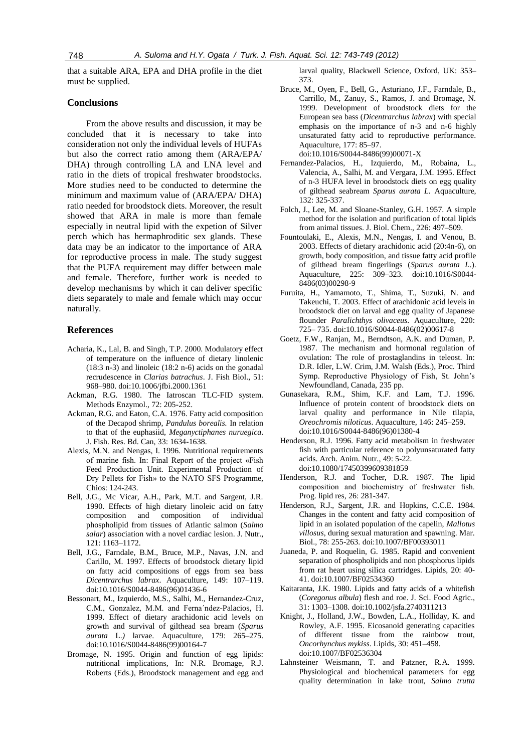that a suitable ARA, EPA and DHA profile in the diet must be supplied.

### **Conclusions**

From the above results and discussion, it may be concluded that it is necessary to take into consideration not only the individual levels of HUFAs but also the correct ratio among them (ARA/EPA/ DHA) through controlling LA and LNA level and ratio in the diets of tropical freshwater broodstocks. More studies need to be conducted to determine the minimum and maximum value of (ARA/EPA/ DHA) ratio needed for broodstock diets. Moreover, the result showed that ARA in male is more than female especially in neutral lipid with the expetion of Silver perch which has hermaphroditic sex glands. These data may be an indicator to the importance of ARA for reproductive process in male. The study suggest that the PUFA requirement may differ between male and female. Therefore, further work is needed to develop mechanisms by which it can deliver specific diets separately to male and female which may occur naturally.

### **References**

- Acharia, K., Lal, B. and Singh, T.P. 2000. Modulatory effect of temperature on the influence of dietary linolenic  $(18:3 n-3)$  and linoleic  $(18:2 n-6)$  acids on the gonadal recrudescence in *Clarias batrachus*. J. Fish Biol., 51: 968–980. doi:10.1006/jfbi.2000.1361
- Ackman, R.G. 1980. The Iatroscan TLC-FID system. Methods Enzymol., 72: 205-252.
- Ackman, R.G. and Eaton, C.A. 1976. Fatty acid composition of the Decapod shrimp, *Pandulus borealis.* In relation to that of the euphasiid, *Meganyctiphanes nuruegica*. J. Fish. Res. Bd. Can, 33: 1634-1638.
- Alexis, M.N. and Nengas, I. 1996. Nutritional requirements of marine fish. In: Final Report of the project «Fish Feed Production Unit. Experimental Production of Dry Pellets for Fish» to the NATO SFS Programme, Chios: 124-243.
- Bell, J.G., Mc Vicar, A.H., Park, M.T. and Sargent, J.R. 1990. Effects of high dietary linoleic acid on fatty composition and composition of individual phospholipid from tissues of Atlantic salmon (*Salmo salar*) association with a novel cardiac lesion. J. Nutr., 121: 1163–1172.
- Bell, J.G., Farndale, B.M., Bruce, M.P., Navas, J.N. and Carillo, M. 1997. Effects of broodstock dietary lipid on fatty acid compositions of eggs from sea bass *Dicentrarchus labrax*. Aquaculture, 149: 107–119. doi:10.1016/S0044-8486(96)01436-6
- Bessonart, M., Izquierdo, M.S., Salhi, M., Hernandez-Cruz, C.M., Gonzalez, M.M. and Ferna´ndez-Palacios, H. 1999. Effect of dietary arachidonic acid levels on growth and survival of gilthead sea bream (*Sparus aurata* L.*)* larvae. Aquaculture, 179: 265–275. doi:10.1016/S0044-8486(99)00164-7
- Bromage, N. 1995. Origin and function of egg lipids: nutritional implications, In: N.R. Bromage, R.J. Roberts (Eds.), Broodstock management and egg and

larval quality, Blackwell Science, Oxford, UK: 353– 373.

- Bruce, M., Oyen, F., Bell, G., Asturiano, J.F., Farndale, B., Carrillo, M., Zanuy, S., Ramos, J. and Bromage, N. 1999. Development of broodstock diets for the European sea bass (*Dicentrarchus labrax*) with special emphasis on the importance of n-3 and n-6 highly unsaturated fatty acid to reproductive performance. Aquaculture, 177: 85–97. doi:10.1016/S0044-8486(99)00071-X
- Fernandez-Palacios, H., Izquierdo, M., Robaina, L., Valencia, A., Salhi, M. and Vergara, J.M. 1995. Effect of n-3 HUFA level in broodstock diets on egg quality of gilthead seabream *Sparus aurata L.* Aquaculture, 132: 325-337.
- Folch, J., Lee, M. and Sloane-Stanley, G.H. 1957. A simple method for the isolation and purification of total lipids from animal tissues. J. Biol. Chem., 226: 497–509.
- Fountoulaki, E., Alexis, M.N., Nengas, I. and Venou, B. 2003. Effects of dietary arachidonic acid (20:4n-6), on growth, body composition, and tissue fatty acid profile of gilthead bream fingerlings (*Sparus aurata L*.). Aquaculture, 225: 309–323. doi:10.1016/S0044- 8486(03)00298-9
- Furuita, H., Yamamoto, T., Shima, T., Suzuki, N. and Takeuchi, T. 2003. Effect of arachidonic acid levels in broodstock diet on larval and egg quality of Japanese flounder *Paralichthys olivaceus*. Aquaculture, 220: 725– 735. doi:10.1016/S0044-8486(02)00617-8
- Goetz, F.W., Ranjan, M., Berndtson, A.K. and Duman, P. 1987. The mechanism and hormonal regulation of ovulation: The role of prostaglandins in teleost. In: D.R. Idler, L.W. Crim, J.M. Walsh (Eds.), Proc. Third Symp. Reproductive Physiology of Fish, St. John's Newfoundland, Canada, 235 pp.
- Gunasekara, R.M., Shim, K.F. and Lam, T.J. 1996. Influence of protein content of broodstock diets on larval quality and performance in Nile tilapia, *Oreochromis niloticus*. Aquaculture, 146: 245–259. doi:10.1016/S0044-8486(96)01380-4
- Henderson, R.J. 1996. Fatty acid metabolism in freshwater fish with particular reference to polyunsaturated fatty acids. Arch. Anim. Nutr., 49: 5-22. doi:10.1080/17450399609381859
- Henderson, R.J. and Tocher, D.R. 1987. The lipid composition and biochemistry of freshwater fish. Prog. lipid res, 26: 281-347.
- Henderson, R.J., Sargent, J.R. and Hopkins, C.C.E. 1984. Changes in the content and fatty acid composition of lipid in an isolated population of the capelin, *Mallotus villosus*, during sexual maturation and spawning. Mar. Biol., 78: 255-263. doi:10.1007/BF00393011
- Juaneda, P. and Roquelin, G. 1985. Rapid and convenient separation of phospholipids and non phosphorus lipids from rat heart using silica cartridges. Lipids, 20: 40- 41. doi:10.1007/BF02534360
- Kaitaranta, J.K. 1980. Lipids and fatty acids of a whitefish (*Coregonus albula*) flesh and roe. J. Sci. Food Agric., 31: 1303–1308. doi:10.1002/jsfa.2740311213
- Knight, J., Holland, J.W., Bowden, L.A., Holliday, K. and Rowley, A.F. 1995. Eicosanoid generating capacities of different tissue from the rainbow trout, *Oncorhynchus mykiss*. Lipids, 30: 451–458. doi:10.1007/BF02536304
- Lahnsteiner Weismann, T. and Patzner, R.A. 1999. Physiological and biochemical parameters for egg quality determination in lake trout, *Salmo trutta*